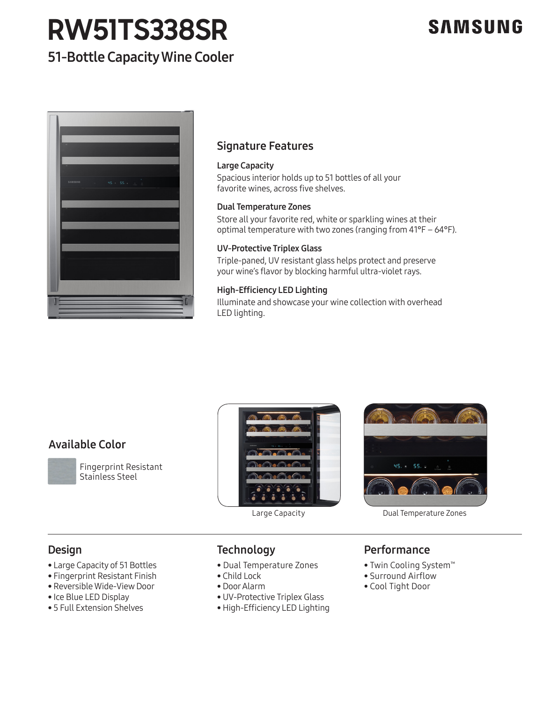# **RW51TS338SR**

# **SAMSUNG**

# 51-Bottle Capacity Wine Cooler



## Signature Features

#### Large Capacity

Spacious interior holds up to 51 bottles of all your favorite wines, across five shelves.

#### Dual Temperature Zones

Store all your favorite red, white or sparkling wines at their optimal temperature with two zones (ranging from 41°F – 64°F).

#### UV-Protective Triplex Glass

Triple-paned, UV resistant glass helps protect and preserve your wine's flavor by blocking harmful ultra-violet rays.

#### High-Efficiency LED Lighting

Illuminate and showcase your wine collection with overhead LED lighting.

### Available Color



Stainless Steel Fingerprint Resistant Stainless Steel



Large Capacity



Dual Temperature Zones

## Design

- Large Capacity of 51 Bottles
- Fingerprint Resistant Finish
- Reversible Wide-View Door
- Ice Blue LED Display
- 5 Full Extension Shelves

# Black Stainless Steel Technology

- Dual Temperature Zones
- Child Lock
- Door Alarm
- UV-Protective Triplex Glass
- Stugn-Enicien • High-Efficiency LED Lighting

## **Performance**

- Twin Cooling System™
- Surround Airflow
- Cool Tight Door